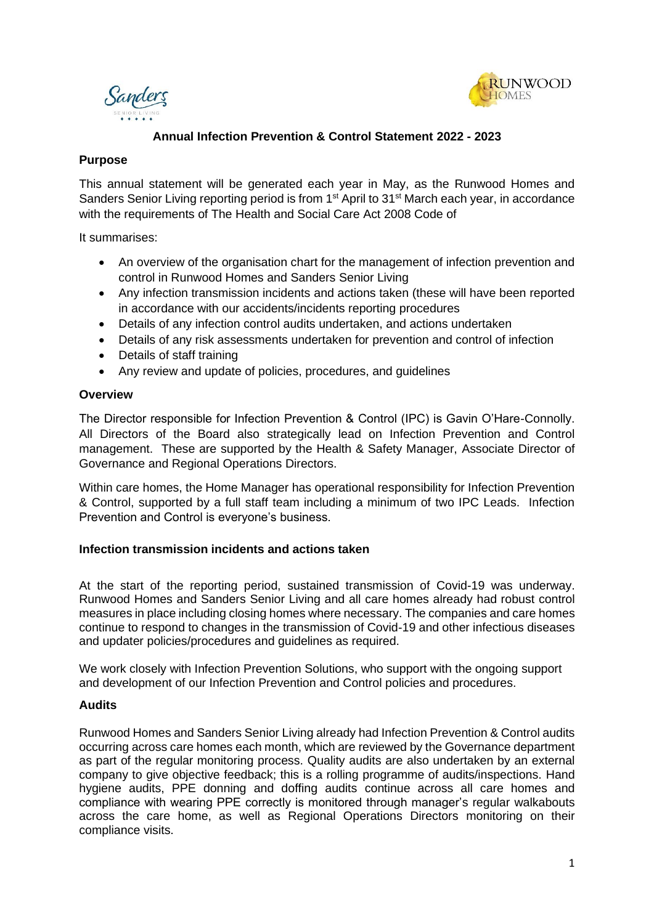



# **Annual Infection Prevention & Control Statement 2022 - 2023**

### **Purpose**

This annual statement will be generated each year in May, as the Runwood Homes and Sanders Senior Living reporting period is from 1<sup>st</sup> April to 31<sup>st</sup> March each year, in accordance with the requirements of The Health and Social Care Act 2008 Code of

It summarises:

- An overview of the organisation chart for the management of infection prevention and control in Runwood Homes and Sanders Senior Living
- Any infection transmission incidents and actions taken (these will have been reported in accordance with our accidents/incidents reporting procedures
- Details of any infection control audits undertaken, and actions undertaken
- Details of any risk assessments undertaken for prevention and control of infection
- Details of staff training
- Any review and update of policies, procedures, and quidelines

### **Overview**

The Director responsible for Infection Prevention & Control (IPC) is Gavin O'Hare-Connolly. All Directors of the Board also strategically lead on Infection Prevention and Control management. These are supported by the Health & Safety Manager, Associate Director of Governance and Regional Operations Directors.

Within care homes, the Home Manager has operational responsibility for Infection Prevention & Control, supported by a full staff team including a minimum of two IPC Leads. Infection Prevention and Control is everyone's business.

## **Infection transmission incidents and actions taken**

At the start of the reporting period, sustained transmission of Covid-19 was underway. Runwood Homes and Sanders Senior Living and all care homes already had robust control measures in place including closing homes where necessary. The companies and care homes continue to respond to changes in the transmission of Covid-19 and other infectious diseases and updater policies/procedures and guidelines as required.

We work closely with Infection Prevention Solutions, who support with the ongoing support and development of our Infection Prevention and Control policies and procedures.

## **Audits**

Runwood Homes and Sanders Senior Living already had Infection Prevention & Control audits occurring across care homes each month, which are reviewed by the Governance department as part of the regular monitoring process. Quality audits are also undertaken by an external company to give objective feedback; this is a rolling programme of audits/inspections. Hand hygiene audits, PPE donning and doffing audits continue across all care homes and compliance with wearing PPE correctly is monitored through manager's regular walkabouts across the care home, as well as Regional Operations Directors monitoring on their compliance visits.